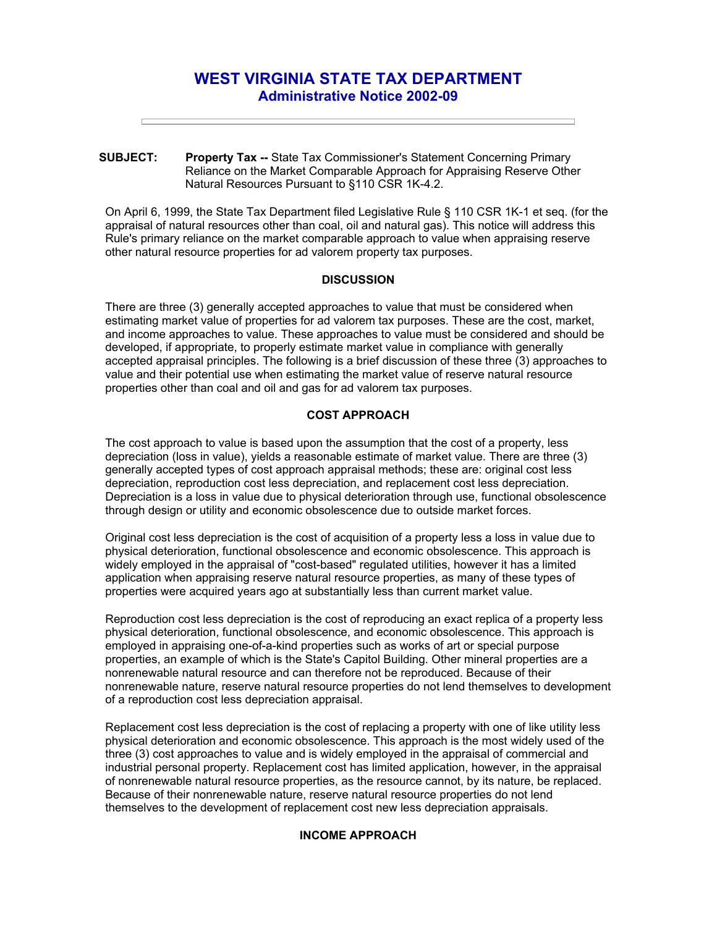# **WEST VIRGINIA STATE TAX DEPARTMENT Administrative Notice 2002-09**

**SUBJECT: Property Tax --** State Tax Commissioner's Statement Concerning Primary Reliance on the Market Comparable Approach for Appraising Reserve Other Natural Resources Pursuant to §110 CSR 1K-4.2.

On April 6, 1999, the State Tax Department filed Legislative Rule § 110 CSR 1K-1 et seq. (for the appraisal of natural resources other than coal, oil and natural gas). This notice will address this Rule's primary reliance on the market comparable approach to value when appraising reserve other natural resource properties for ad valorem property tax purposes.

## **DISCUSSION**

There are three (3) generally accepted approaches to value that must be considered when estimating market value of properties for ad valorem tax purposes. These are the cost, market, and income approaches to value. These approaches to value must be considered and should be developed, if appropriate, to properly estimate market value in compliance with generally accepted appraisal principles. The following is a brief discussion of these three (3) approaches to value and their potential use when estimating the market value of reserve natural resource properties other than coal and oil and gas for ad valorem tax purposes.

# **COST APPROACH**

The cost approach to value is based upon the assumption that the cost of a property, less depreciation (loss in value), yields a reasonable estimate of market value. There are three (3) generally accepted types of cost approach appraisal methods; these are: original cost less depreciation, reproduction cost less depreciation, and replacement cost less depreciation. Depreciation is a loss in value due to physical deterioration through use, functional obsolescence through design or utility and economic obsolescence due to outside market forces.

Original cost less depreciation is the cost of acquisition of a property less a loss in value due to physical deterioration, functional obsolescence and economic obsolescence. This approach is widely employed in the appraisal of "cost-based" regulated utilities, however it has a limited application when appraising reserve natural resource properties, as many of these types of properties were acquired years ago at substantially less than current market value.

Reproduction cost less depreciation is the cost of reproducing an exact replica of a property less physical deterioration, functional obsolescence, and economic obsolescence. This approach is employed in appraising one-of-a-kind properties such as works of art or special purpose properties, an example of which is the State's Capitol Building. Other mineral properties are a nonrenewable natural resource and can therefore not be reproduced. Because of their nonrenewable nature, reserve natural resource properties do not lend themselves to development of a reproduction cost less depreciation appraisal.

Replacement cost less depreciation is the cost of replacing a property with one of like utility less physical deterioration and economic obsolescence. This approach is the most widely used of the three (3) cost approaches to value and is widely employed in the appraisal of commercial and industrial personal property. Replacement cost has limited application, however, in the appraisal of nonrenewable natural resource properties, as the resource cannot, by its nature, be replaced. Because of their nonrenewable nature, reserve natural resource properties do not lend themselves to the development of replacement cost new less depreciation appraisals.

## **INCOME APPROACH**